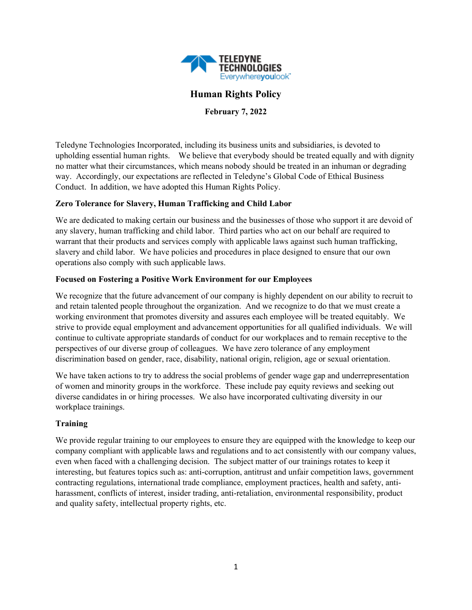

# **Human Rights Policy**

**February 7, 2022**

Teledyne Technologies Incorporated, including its business units and subsidiaries, is devoted to upholding essential human rights. We believe that everybody should be treated equally and with dignity no matter what their circumstances, which means nobody should be treated in an inhuman or degrading way. Accordingly, our expectations are reflected in Teledyne's Global Code of Ethical Business Conduct. In addition, we have adopted this Human Rights Policy.

### **Zero Tolerance for Slavery, Human Trafficking and Child Labor**

We are dedicated to making certain our business and the businesses of those who support it are devoid of any slavery, human trafficking and child labor. Third parties who act on our behalf are required to warrant that their products and services comply with applicable laws against such human trafficking, slavery and child labor. We have policies and procedures in place designed to ensure that our own operations also comply with such applicable laws.

### **Focused on Fostering a Positive Work Environment for our Employees**

We recognize that the future advancement of our company is highly dependent on our ability to recruit to and retain talented people throughout the organization. And we recognize to do that we must create a working environment that promotes diversity and assures each employee will be treated equitably. We strive to provide equal employment and advancement opportunities for all qualified individuals. We will continue to cultivate appropriate standards of conduct for our workplaces and to remain receptive to the perspectives of our diverse group of colleagues. We have zero tolerance of any employment discrimination based on gender, race, disability, national origin, religion, age or sexual orientation.

We have taken actions to try to address the social problems of gender wage gap and underrepresentation of women and minority groups in the workforce. These include pay equity reviews and seeking out diverse candidates in or hiring processes. We also have incorporated cultivating diversity in our workplace trainings.

## **Training**

We provide regular training to our employees to ensure they are equipped with the knowledge to keep our company compliant with applicable laws and regulations and to act consistently with our company values, even when faced with a challenging decision. The subject matter of our trainings rotates to keep it interesting, but features topics such as: anti-corruption, antitrust and unfair competition laws, government contracting regulations, international trade compliance, employment practices, health and safety, antiharassment, conflicts of interest, insider trading, anti-retaliation, environmental responsibility, product and quality safety, intellectual property rights, etc.